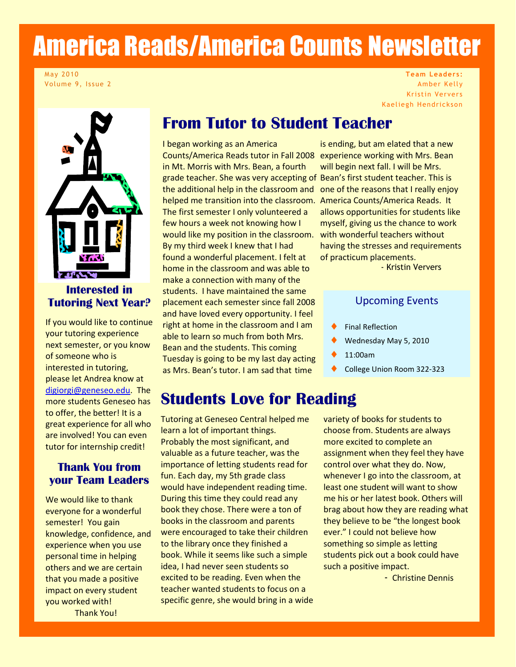# America Reads/America Counts Newsletter

May 2010 Volume 9, Issue 2

**Team Leaders:** Amber Kelly Kristin Ververs Kaeliegh Hendrickson



#### **Interested in Tutoring Next Year?**

If you would like to continue your tutoring experience next semester, or you know of someone who is interested in tutoring, please let Andrea know at [digiorgi@geneseo.edu.](mailto:digiorgi@geneseo.edu) The more students Geneseo has to offer, the better! It is a great experience for all who are involved! You can even tutor for internship credit!

#### **Thank You from your Team Leaders**

We would like to thank everyone for a wonderful semester! You gain knowledge, confidence, and experience when you use personal time in helping others and we are certain that you made a positive impact on every student you worked with! Thank You!

## **From Tutor to Student Teacher**

I began working as an America Counts/America Reads tutor in Fall 2008 experience working with Mrs. Bean in Mt. Morris with Mrs. Bean, a fourth grade teacher. She was very accepting of Bean's first student teacher. This is the additional help in the classroom and helped me transition into the classroom. America Counts/America Reads. It The first semester I only volunteered a few hours a week not knowing how I would like my position in the classroom. with wonderful teachers without By my third week I knew that I had found a wonderful placement. I felt at home in the classroom and was able to make a connection with many of the students. I have maintained the same placement each semester since fall 2008 and have loved every opportunity. I feel right at home in the classroom and I am able to learn so much from both Mrs. Bean and the students. This coming Tuesday is going to be my last day acting as Mrs. Bean's tutor. I am sad that time

# **Students Love for Reading**

Tutoring at Geneseo Central helped me learn a lot of important things. Probably the most significant, and valuable as a future teacher, was the importance of letting students read for fun. Each day, my 5th grade class would have independent reading time. During this time they could read any book they chose. There were a ton of books in the classroom and parents were encouraged to take their children to the library once they finished a book. While it seems like such a simple idea, I had never seen students so excited to be reading. Even when the teacher wanted students to focus on a specific genre, she would bring in a wide

is ending, but am elated that a new will begin next fall. I will be Mrs. one of the reasons that I really enjoy allows opportunities for students like myself, giving us the chance to work having the stresses and requirements of practicum placements.

- Kristin Ververs

#### Upcoming Events

- Final Reflection
- Wednesday May 5, 2010
- 11:00am
- College Union Room 322-323

variety of books for students to choose from. Students are always more excited to complete an assignment when they feel they have control over what they do. Now, whenever I go into the classroom, at least one student will want to show me his or her latest book. Others will brag about how they are reading what they believe to be "the longest book ever." I could not believe how something so simple as letting students pick out a book could have such a positive impact.

- Christine Dennis